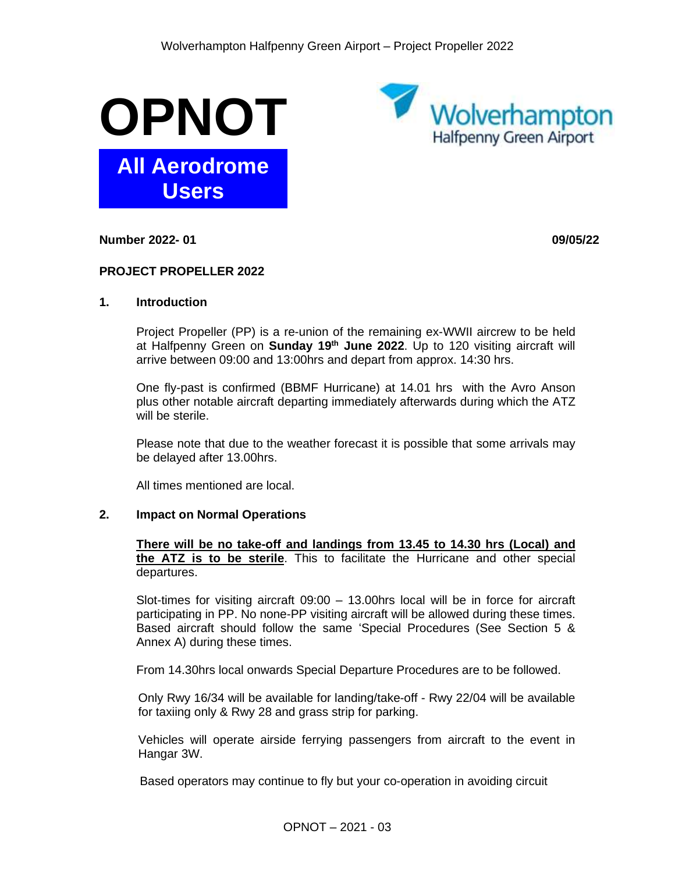



**Number 2022- 01 09/05/22**

#### **PROJECT PROPELLER 2022**

#### **1. Introduction**

Project Propeller (PP) is a re-union of the remaining ex-WWII aircrew to be held at Halfpenny Green on **Sunday 19<sup>th</sup> June 2022**. Up to 120 visiting aircraft will arrive between 09:00 and 13:00hrs and depart from approx. 14:30 hrs.

One fly-past is confirmed (BBMF Hurricane) at 14.01 hrs with the Avro Anson plus other notable aircraft departing immediately afterwards during which the ATZ will be sterile.

Please note that due to the weather forecast it is possible that some arrivals may be delayed after 13.00hrs.

All times mentioned are local.

#### **2. Impact on Normal Operations**

**There will be no take-off and landings from 13.45 to 14.30 hrs (Local) and the ATZ is to be sterile**. This to facilitate the Hurricane and other special departures.

Slot-times for visiting aircraft 09:00 – 13.00hrs local will be in force for aircraft participating in PP. No none-PP visiting aircraft will be allowed during these times. Based aircraft should follow the same 'Special Procedures (See Section 5 & Annex A) during these times.

From 14.30hrs local onwards Special Departure Procedures are to be followed.

Only Rwy 16/34 will be available for landing/take-off - Rwy 22/04 will be available for taxiing only & Rwy 28 and grass strip for parking.

Vehicles will operate airside ferrying passengers from aircraft to the event in Hangar 3W.

Based operators may continue to fly but your co-operation in avoiding circuit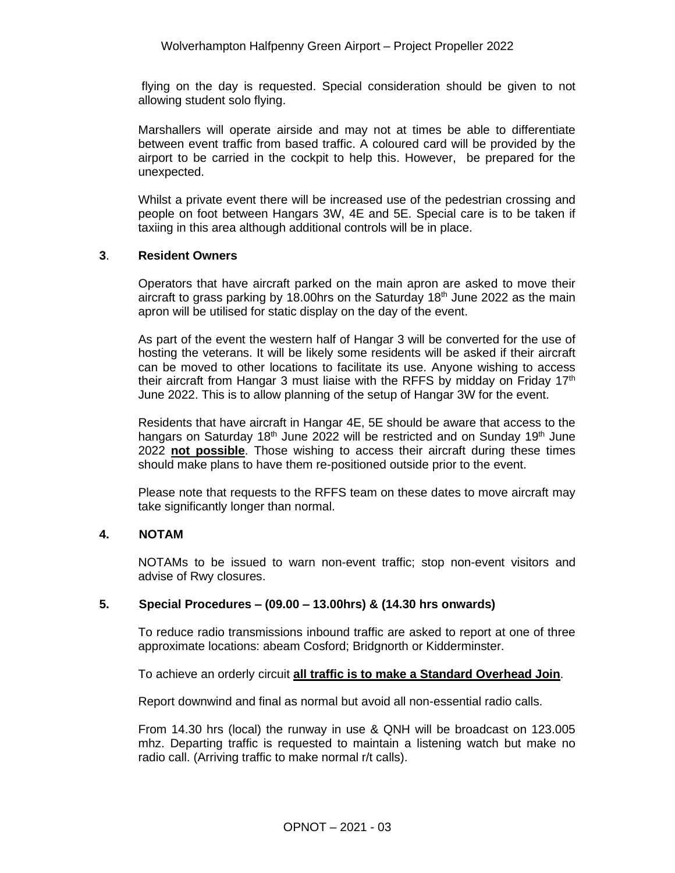flying on the day is requested. Special consideration should be given to not allowing student solo flying.

Marshallers will operate airside and may not at times be able to differentiate between event traffic from based traffic. A coloured card will be provided by the airport to be carried in the cockpit to help this. However, be prepared for the unexpected.

Whilst a private event there will be increased use of the pedestrian crossing and people on foot between Hangars 3W, 4E and 5E. Special care is to be taken if taxiing in this area although additional controls will be in place.

#### **3**. **Resident Owners**

Operators that have aircraft parked on the main apron are asked to move their aircraft to grass parking by 18.00 hrs on the Saturday  $18<sup>th</sup>$  June 2022 as the main apron will be utilised for static display on the day of the event.

As part of the event the western half of Hangar 3 will be converted for the use of hosting the veterans. It will be likely some residents will be asked if their aircraft can be moved to other locations to facilitate its use. Anyone wishing to access their aircraft from Hangar 3 must liaise with the RFFS by midday on Friday  $17<sup>th</sup>$ June 2022. This is to allow planning of the setup of Hangar 3W for the event.

Residents that have aircraft in Hangar 4E, 5E should be aware that access to the hangars on Saturday 18<sup>th</sup> June 2022 will be restricted and on Sunday 19<sup>th</sup> June 2022 **not possible**. Those wishing to access their aircraft during these times should make plans to have them re-positioned outside prior to the event.

Please note that requests to the RFFS team on these dates to move aircraft may take significantly longer than normal.

## **4. NOTAM**

NOTAMs to be issued to warn non-event traffic; stop non-event visitors and advise of Rwy closures.

#### **5. Special Procedures – (09.00 – 13.00hrs) & (14.30 hrs onwards)**

To reduce radio transmissions inbound traffic are asked to report at one of three approximate locations: abeam Cosford; Bridgnorth or Kidderminster.

To achieve an orderly circuit **all traffic is to make a Standard Overhead Join**.

Report downwind and final as normal but avoid all non-essential radio calls.

From 14.30 hrs (local) the runway in use & QNH will be broadcast on 123.005 mhz. Departing traffic is requested to maintain a listening watch but make no radio call. (Arriving traffic to make normal r/t calls).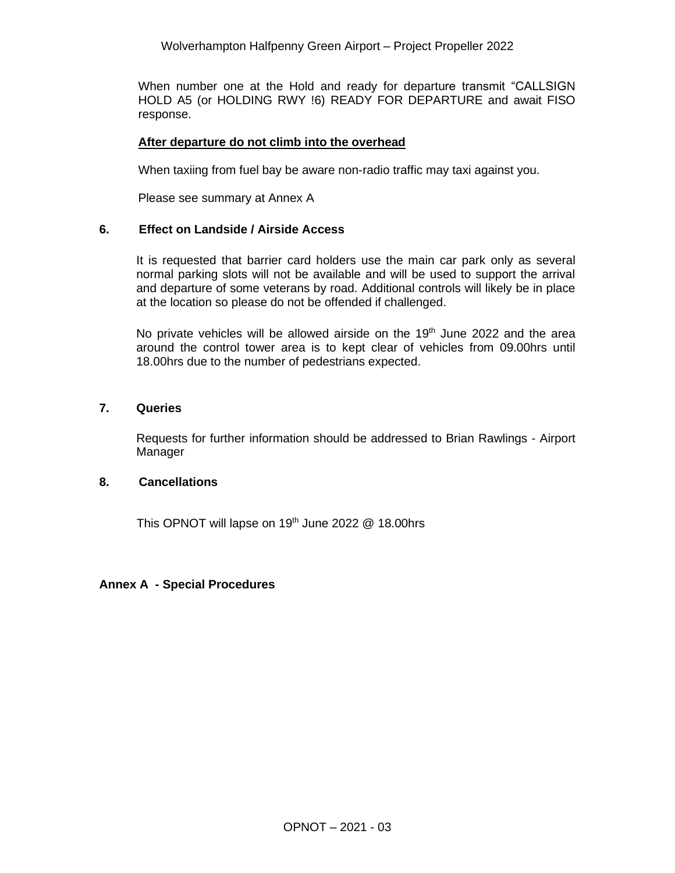When number one at the Hold and ready for departure transmit "CALLSIGN HOLD A5 (or HOLDING RWY !6) READY FOR DEPARTURE and await FISO response.

#### **After departure do not climb into the overhead**

When taxiing from fuel bay be aware non-radio traffic may taxi against you.

Please see summary at Annex A

#### **6. Effect on Landside / Airside Access**

It is requested that barrier card holders use the main car park only as several normal parking slots will not be available and will be used to support the arrival and departure of some veterans by road. Additional controls will likely be in place at the location so please do not be offended if challenged.

No private vehicles will be allowed airside on the 19<sup>th</sup> June 2022 and the area around the control tower area is to kept clear of vehicles from 09.00hrs until 18.00hrs due to the number of pedestrians expected.

#### **7. Queries**

Requests for further information should be addressed to Brian Rawlings - Airport Manager

## **8. Cancellations**

This OPNOT will lapse on 19<sup>th</sup> June 2022  $@$  18.00hrs

#### **Annex A - Special Procedures**